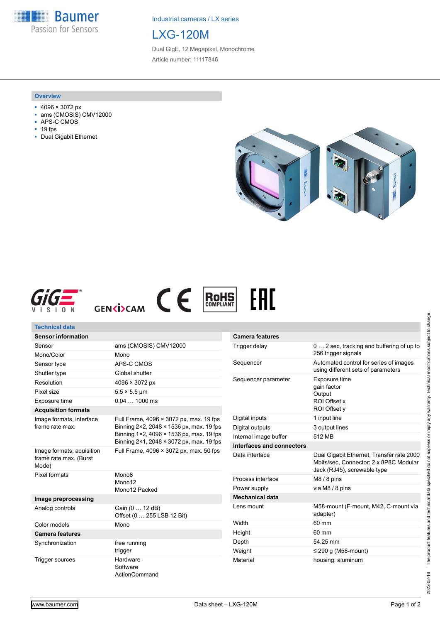**Baumer** Passion for Sensors

Industrial cameras / LX series

# LXG-120M

Dual GigE, 12 Megapixel, Monochrome Article number: 11117846

#### **Overview**

- 4096 × 3072 px
- ams (CMOSIS) CMV12000
- APS-C CMOS
- 19 fps
- Dual Gigabit Ethernet







ActionCommand



| <b>Technical data</b>                                        |                                                                                                                                                                             |                                                                               |                                                                                                                    |
|--------------------------------------------------------------|-----------------------------------------------------------------------------------------------------------------------------------------------------------------------------|-------------------------------------------------------------------------------|--------------------------------------------------------------------------------------------------------------------|
| <b>Sensor information</b>                                    |                                                                                                                                                                             | <b>Camera features</b>                                                        |                                                                                                                    |
| Sensor                                                       | ams (CMOSIS) CMV12000                                                                                                                                                       | Trigger delay                                                                 | 0  2 sec, tracking and buffering of up to                                                                          |
| Mono/Color                                                   | Mono                                                                                                                                                                        |                                                                               | 256 trigger signals                                                                                                |
| Sensor type                                                  | APS-C CMOS                                                                                                                                                                  | Sequencer                                                                     | Automated control for series of images                                                                             |
| Shutter type                                                 | Global shutter                                                                                                                                                              |                                                                               | using different sets of parameters                                                                                 |
| Resolution                                                   | $4096 \times 3072 \text{ px}$                                                                                                                                               | Exposure time<br>Sequencer parameter<br>gain factor<br>Output<br>ROI Offset x |                                                                                                                    |
| Pixel size                                                   | $5.5 \times 5.5$ µm                                                                                                                                                         |                                                                               |                                                                                                                    |
| Exposure time                                                | $0.041000$ ms                                                                                                                                                               |                                                                               |                                                                                                                    |
| <b>Acquisition formats</b>                                   |                                                                                                                                                                             |                                                                               | ROI Offset y                                                                                                       |
| Image formats, interface<br>frame rate max.                  | Full Frame, 4096 × 3072 px, max. 19 fps<br>Binning 2×2, 2048 × 1536 px, max. 19 fps<br>Binning 1×2, 4096 × 1536 px, max. 19 fps<br>Binning 2×1, 2048 × 3072 px, max. 19 fps | Digital inputs                                                                | 1 input line                                                                                                       |
|                                                              |                                                                                                                                                                             | Digital outputs                                                               | 3 output lines                                                                                                     |
|                                                              |                                                                                                                                                                             | Internal image buffer                                                         | 512 MB                                                                                                             |
|                                                              |                                                                                                                                                                             | Interfaces and connectors                                                     |                                                                                                                    |
| Image formats, aquisition<br>frame rate max. (Burst<br>Mode) | Full Frame, 4096 × 3072 px, max. 50 fps                                                                                                                                     | Data interface                                                                | Dual Gigabit Ethernet, Transfer rate 2000<br>Mbits/sec. Connector: 2 x 8P8C Modular<br>Jack (RJ45), screwable type |
| Pixel formats                                                | Mono <sub>8</sub><br>Mono12                                                                                                                                                 | Process interface                                                             | $M8/8$ pins                                                                                                        |
|                                                              | Mono12 Packed                                                                                                                                                               | Power supply                                                                  | via M8 / 8 pins                                                                                                    |
| Image preprocessing                                          |                                                                                                                                                                             | <b>Mechanical data</b>                                                        |                                                                                                                    |
| Analog controls                                              | Gain (0  12 dB)<br>Offset (0  255 LSB 12 Bit)                                                                                                                               | Lens mount                                                                    | M58-mount (F-mount, M42, C-mount via<br>adapter)                                                                   |
| Color models                                                 | Mono                                                                                                                                                                        | Width                                                                         | 60 mm                                                                                                              |
| <b>Camera features</b>                                       |                                                                                                                                                                             | Height                                                                        | 60 mm                                                                                                              |
| Synchronization                                              | free running                                                                                                                                                                | Depth                                                                         | 54.25 mm                                                                                                           |
|                                                              | trigger                                                                                                                                                                     | Weight                                                                        | $\leq$ 290 g (M58-mount)                                                                                           |
| <b>Trigger sources</b>                                       | Hardware<br>Software                                                                                                                                                        | Material                                                                      | housing: aluminum                                                                                                  |